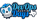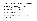## Attendee Feedback (62 NPS, 50 responses)

- Overall experience 50% excellent, 40% very good
- How organized 54% extremely, 38% very
- Friendliness 84% extremely, 10% very
- How much info you get 38% all, 54% most
- Food quality 28% excellent, 50% good, 22% ok
- Venue quality 50% very high, 38% high
- Happy hour 54% didn't go, 28% excellent, 12% very good
- 84% likely to return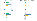#### How would you rate the quality of the keynotes?

Answered: 50 Skipped: 0



How would you rate the quality of the openspaces?

Answered: 50 Skipped: 0



#### How would you rate the quality of the Conversation style talks?

Answered: 49 Skipped: 1



How would you rate the quality of the talks?

Answered: 50 Skipped: 0

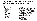#### "Informative, laid back, friendly, humorous event. My favorite conference for a couple of years now."

Like:

- Open spaces x9
- Speakers/talks x8 (inc. diversity)
- Culture/Atmosphere x5
- Community/People x5
- Ignites x4
- Vendors x2
- Trivia x2
- Limited size/venue x2
- Food x2
- Tshirts/swag x2
- Hallway track x2
- Happy Hour
- Paytalk
- Keynotes

Dislike:

- Nothing, great job x10
- Travel/parking/handicap parking, seating x6
- Talks not "in depth" enough or "below par" or<br>"I already did that" or "variable quality" or<br>"topic diversity" or "too much kube" x6
- We want BBQ /better lunch/better vegan x4
- Some openspaces/Left talks full to capacity x3
- Openspaces make me socialize/define openspaces ahead of time/openspaces/sponsors dominating openspaces x4
- Getting off schedule x2
- Vendors/"Vendor swag was meh" x2
- More days
- Keynotes weak
- Talk blurbs deceptive
- Loudness/obstructed sightline x2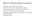# Organizer Feedback (88 NPS, 8 responses)

- Experience 50% excellent, 25% very good
- Organized 50% very, 25% extremely, 25% somewhat
- Friendly 75% extremely, 12.5% very, 12.5% somewhat
- How much info you get 62.5% all, 37.5% most
- Time spent 62.5% just right, 12.5% little long, 12.5% little short, 12.5% way too short
- 93% likely to return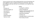"Just to say how much I enjoy working with the crew and watching it all come together to put on a great event for the community. I get a lot out of doing it each year and see my contribution as an important way to give back."

#### Like:

- Inclusion x2
- Working together x3
- Give back x2
- Time balance
- Standup
- Experimentation
- Sponsors back

Dislike:

- Looking for problems
- Some stressing out
- Speaker selection/notification & schedule not set till late
- Need documentation
- Herding cats
- Standups dwell on certain areas
- No role day of event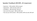### Speaker Feedback (90 NPS, 10 responses)

- Experience 50% excellent, 50% very good
- Organization 40% extremely, 50% very
- Friendliness 90% extremely, 10% very
- How much info you get 60% all, 40% most
- How was your talk received 20% excellent, 60% very well, 20% well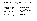"Everyone was really positive; welcoming, lowpressure environment."

Like:

- No tech problems/helpful techs/setup organized x4
- Supportive/welcoming x3
- Engaged audience x3
- Venue x2
- Dinner/swag
- Ignite's a good starter format

Dislike:

- Chromebook support
- Schedule slippage
- Openspace competition with Conversations
- Late info
- No screen I could see
- Not sure how loud I was
- Paying to park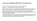# Sponsor Feedback (60 NPS, 10 responses)

- Purchaser 40%, working attendee 50%, corp attendee 10%
- Experience 70% excellent, 20% very good, 10% good
- Liked: "Always a great event excellent sessions, great opportunities to meet with customers and prospects." Vendor area good. Friendly people and networking.
- Disliked: Platinums were upstairs. Water bottles ran out. We want badge scanners. No day before setup. Only 1 minute blurb. Schedule off track. When will courtesy shipping be picked up.
- "A++ highly recommend, etc. Y'all did a bang-up job putting this together, and the community is certainly a testament to your hard work and continuous efforts. I've told everyone at HQ that we need to learn from you."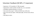# Volunteer Feedback (94 NPS, 17 responses)

- Experience: 72.7% excellent, 27.78% very good
- Organization: 33.3% excellent, 55.56% very, 11.11 somewhat
- Friendliness: 88.9% extremely, 11.1% very
- How much info you get 55.6% all, 38.9% most, 5.6% some
- How much time you spend 83% about right, 11% too much, 6% too little
- 93% likely to return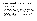### Recruiter Feedback (-50 NPS, 2 responses)

- Experience 100% good
- Casual, good people
- trivia was competing and the people i knew that were there had already left for the day once i got there, we were all in the same place tucked away - i wonder if it was intimidating still to walk over.
- The setup for the recruiting tables was far off to the side of the main event. Most people I don't think realized we were even there, so traffic was low most of the time.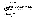# Org/Vol Suggestions

- Explain/demo openspaces better
- AV: confidence screens, visible timer. Better feedback that they're doing good/not good audio wise. Neutral background behind them.
- AV: Backup laptop for bad speaker devices, newer adapters, remote cameras
- AV: docs, labels
- Breakfast: OJ, non-dairy creamer
- Need more pins
- Do better with openspace suite names/numbers/whatever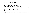# Org/Vol Suggestions

- Donate shirts, donate lunches
- Registration should have sponsor info
- Colored lanyards or something to ID classes of attendee
- Slides in advance or something
- More better wifi
- Assign vol jobs by slot not time because schedule shifts